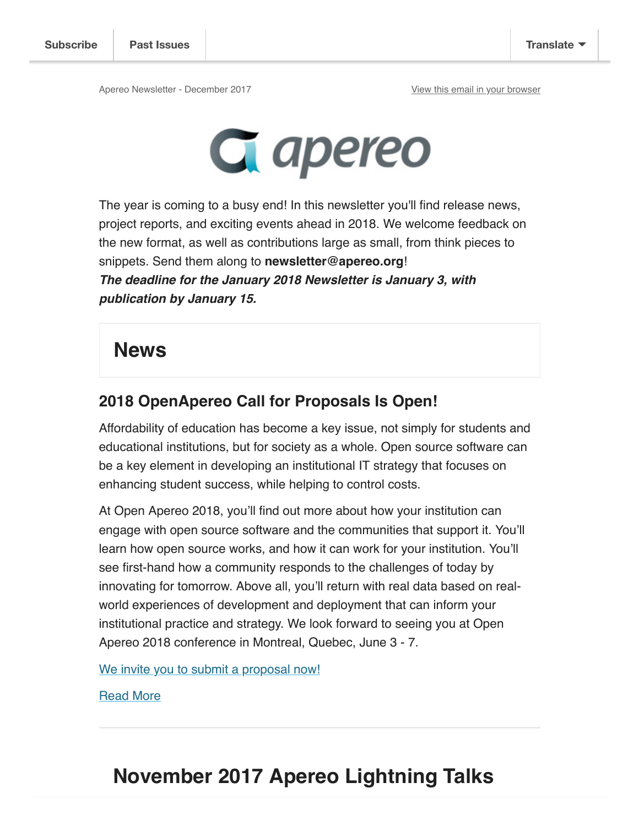

The year is coming to a busy end! In this newsletter you'll find release news, project reports, and exciting events ahead in 2018. We welcome feedback on the new format, as well as contributions large as small, from think pieces to snippets. Send them along to **newsletter@apereo.org**! **The deadline for the January 2018 Newsletter is January 3, with publication by January 15.** 

#### **News**

#### **2018 OpenApereo Call for Proposals Is Open!**

Affordability of education has become a key issue, not simply for students and educational institutions, but for society as a whole. Open source software can be a key element in developing an institutional IT strategy that focuses on enhancing student success, while helping to control costs.

At Open Apereo 2018, you'll find out more about how your institution can engage with open source software and the communities that support it. You'll learn how open source works, and how it can work for your institution. You'll see first-hand how a community responds to the challenges of today by innovating for tomorrow. Above all, you'll return with real data based on realworld experiences of development and deployment that can inform your institutional practice and strategy. We look forward to seeing you at Open Apereo 2018 conference in Montreal, Quebec, June 3 - 7.

We invite you to submit a proposal now!

Read More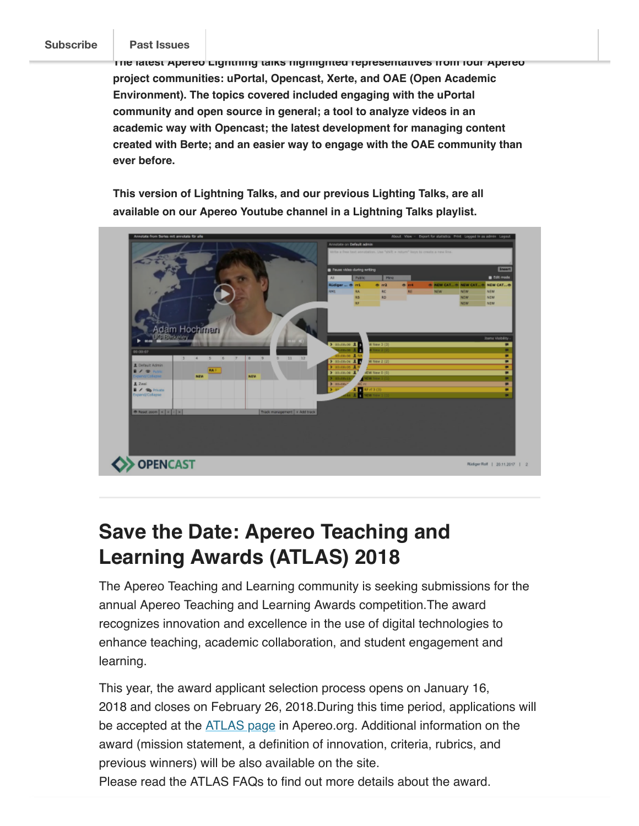#### **Subscribe Past Issues**

**The latest Apereo Lightning talks highlighted representatives from four Apereo project communities: uPortal, Opencast, Xerte, and OAE (Open Academic Environment). The topics covered included engaging with the uPortal community and open source in general; a tool to analyze videos in an academic way with Opencast; the latest development for managing content created with Berte; and an easier way to engage with the OAE community than ever before.**

**This version of Lightning Talks, and our previous Lighting Talks, are all available on our Apereo Youtube channel in a Lightning Talks playlist.**



### **Save the Date: Apereo Teaching and Learning Awards (ATLAS) 2018**

The Apereo Teaching and Learning community is seeking submissions for the annual Apereo Teaching and Learning Awards competition.The award recognizes innovation and excellence in the use of digital technologies to enhance teaching, academic collaboration, and student engagement and learning.

This year, the award applicant selection process opens on January 16, 2018 and closes on February 26, 2018.During this time period, applications will be accepted at the **ATLAS** page in Apereo.org. Additional information on the award (mission statement, a definition of innovation, criteria, rubrics, and previous winners) will be also available on the site.

Please read the ATLAS FAQs to find out more details about the award.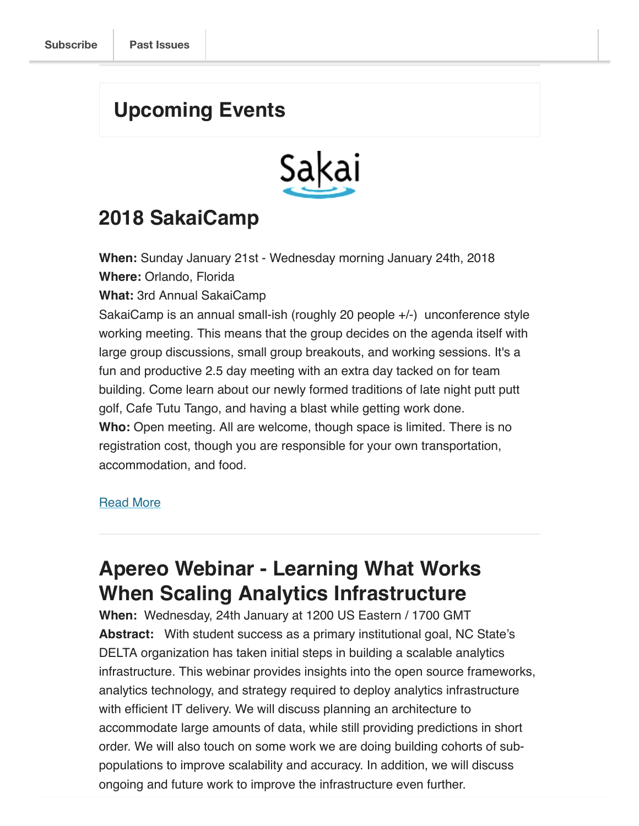#### **Upcoming Events**



### **2018 SakaiCamp**

**When:** Sunday January 21st - Wednesday morning January 24th, 2018 **Where:** Orlando, Florida

**What:** 3rd Annual SakaiCamp

SakaiCamp is an annual small-ish (roughly 20 people +/-) unconference style working meeting. This means that the group decides on the agenda itself with large group discussions, small group breakouts, and working sessions. It's a fun and productive 2.5 day meeting with an extra day tacked on for team building. Come learn about our newly formed traditions of late night putt putt golf, Cafe Tutu Tango, and having a blast while getting work done. **Who:** Open meeting. All are welcome, though space is limited. There is no registration cost, though you are responsible for your own transportation, accommodation, and food.

#### Read More

#### **Apereo Webinar - Learning What Works When Scaling Analytics Infrastructure**

When: Wednesday, 24th January at 1200 US Eastern / 1700 GMT **Abstract:** With student success as a primary institutional goal, NC State's DELTA organization has taken initial steps in building a scalable analytics infrastructure. This webinar provides insights into the open source frameworks, analytics technology, and strategy required to deploy analytics infrastructure with efficient IT delivery. We will discuss planning an architecture to accommodate large amounts of data, while still providing predictions in short order. We will also touch on some work we are doing building cohorts of subpopulations to improve scalability and accuracy. In addition, we will discuss ongoing and future work to improve the infrastructure even further.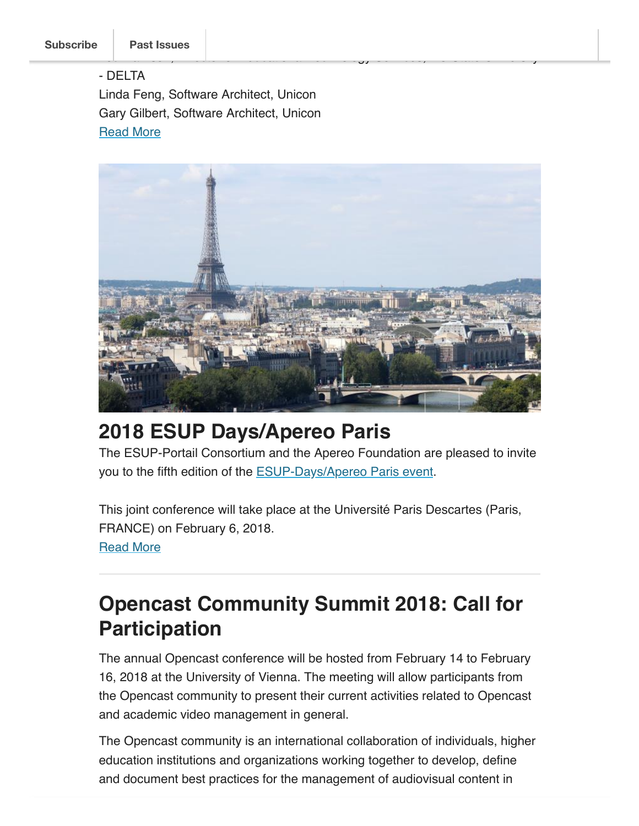#### - DELTA Linda Feng, Software Architect, Unicon Gary Gilbert, Software Architect, Unicon **Read More**



Lou Harrison, Director of Educational Technology Services, NC State University

### **2018 ESUP Days/Apereo Paris**

The ESUP-Portail Consortium and the Apereo Foundation are pleased to invite you to the fifth edition of the **ESUP-Days/Apereo Paris event**.

This joint conference will take place at the Université Paris Descartes (Paris, FRANCE) on February 6, 2018. Read More

### **Opencast Community Summit 2018: Call for Participation**

The annual Opencast conference will be hosted from February 14 to February 16, 2018 at the University of Vienna. The meeting will allow participants from the Opencast community to present their current activities related to Opencast and academic video management in general.

The Opencast community is an international collaboration of individuals, higher education institutions and organizations working together to develop, define and document best practices for the management of audiovisual content in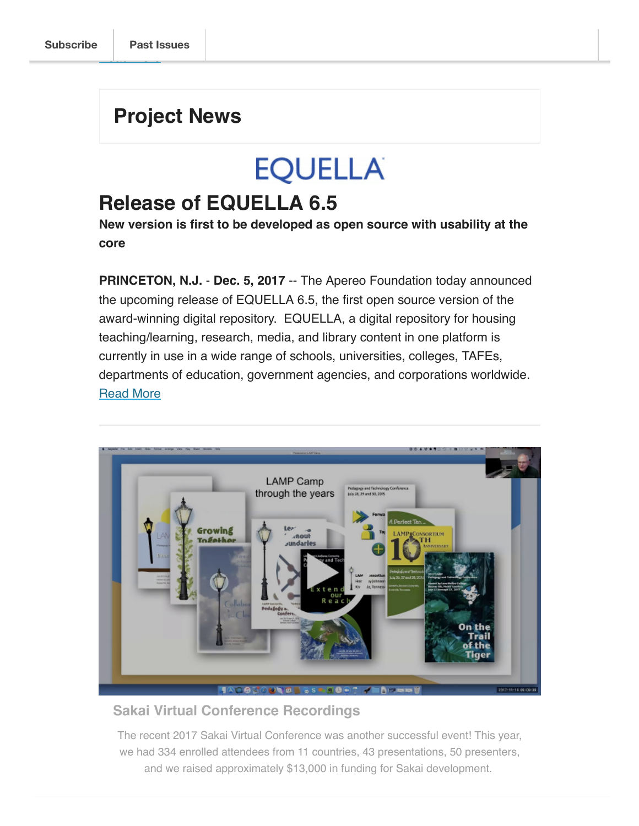<u>read manager</u>

#### **Project News**

## **EQUELLA**

#### **Release of EQUELLA 6.5**

**New version is first to be developed as open source with usability at the core**

**PRINCETON, N.J.** - **Dec. 5, 2017** -- The Apereo Foundation today announced the upcoming release of EQUELLA 6.5, the first open source version of the award-winning digital repository. EQUELLA, a digital repository for housing teaching/learning, research, media, and library content in one platform is currently in use in a wide range of schools, universities, colleges, TAFEs, departments of education, government agencies, and corporations worldwide. Read More



#### **Sakai Virtual Conference Recordings**

The recent 2017 Sakai Virtual Conference was another successful event! This year, we had 334 enrolled attendees from 11 countries, 43 presentations, 50 presenters, and we raised approximately \$13,000 in funding for Sakai development.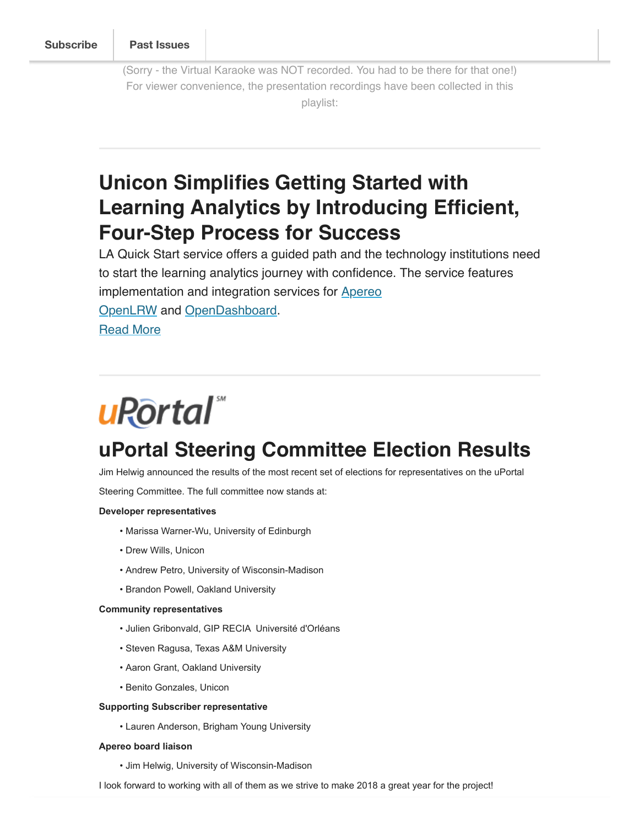(Sorry - the Virtual Karaoke was NOT recorded. You had to be there for that one!) For viewer convenience, the presentation recordings have been collected in this playlist:

## **Unicon Simplifies Getting Started with Learning Analytics by Introducing Efficient, Four-Step Process for Success**

LA Quick Start service offers a guided path and the technology institutions need to start the learning analytics journey with confidence. The service features implementation and integration services for **Apereo** OpenLRW and OpenDashboard. Read More

## **uRortal**

### **uPortal Steering Committee Election Results**

Jim Helwig announced the results of the most recent set of elections for representatives on the uPortal

Steering Committee. The full committee now stands at:

#### **Developer representatives**

- Marissa Warner-Wu, University of Edinburgh
- Drew Wills, Unicon
- Andrew Petro, University of Wisconsin-Madison
- Brandon Powell, Oakland University

#### **Community representatives**

- Julien Gribonvald, GIP RECIA Université d'Orléans
- Steven Ragusa, Texas A&M University
- Aaron Grant, Oakland University
- Benito Gonzales, Unicon

#### **Supporting Subscriber representative**

• Lauren Anderson, Brigham Young University

#### **Apereo board liaison**

- Jim Helwig, University of Wisconsin-Madison
- I look forward to working with all of them as we strive to make 2018 a great year for the project!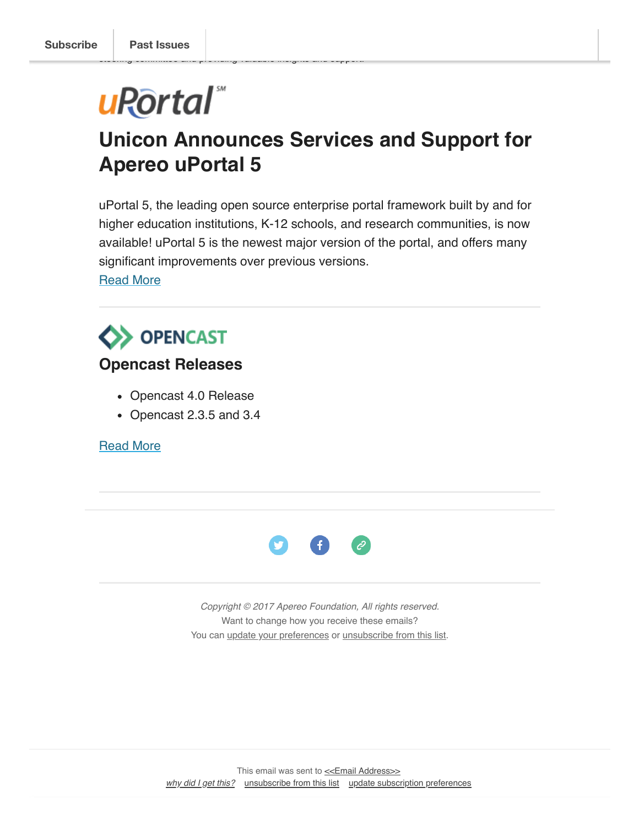# uRortal

steering committee and providing valuable insights and support.

## **Unicon Announces Services and Support for Apereo uPortal 5**

uPortal 5, the leading open source enterprise portal framework built by and for higher education institutions, K-12 schools, and research communities, is now available! uPortal 5 is the newest major version of the portal, and offers many significant improvements over previous versions.

Read More



#### **Opencast Releases**

- Opencast 4.0 Release
- Opencast 2.3.5 and 3.4

Read More



Copyright © 2017 Apereo Foundation, All rights reserved. Want to change how you receive these emails? You can update your preferences or unsubscribe from this list.